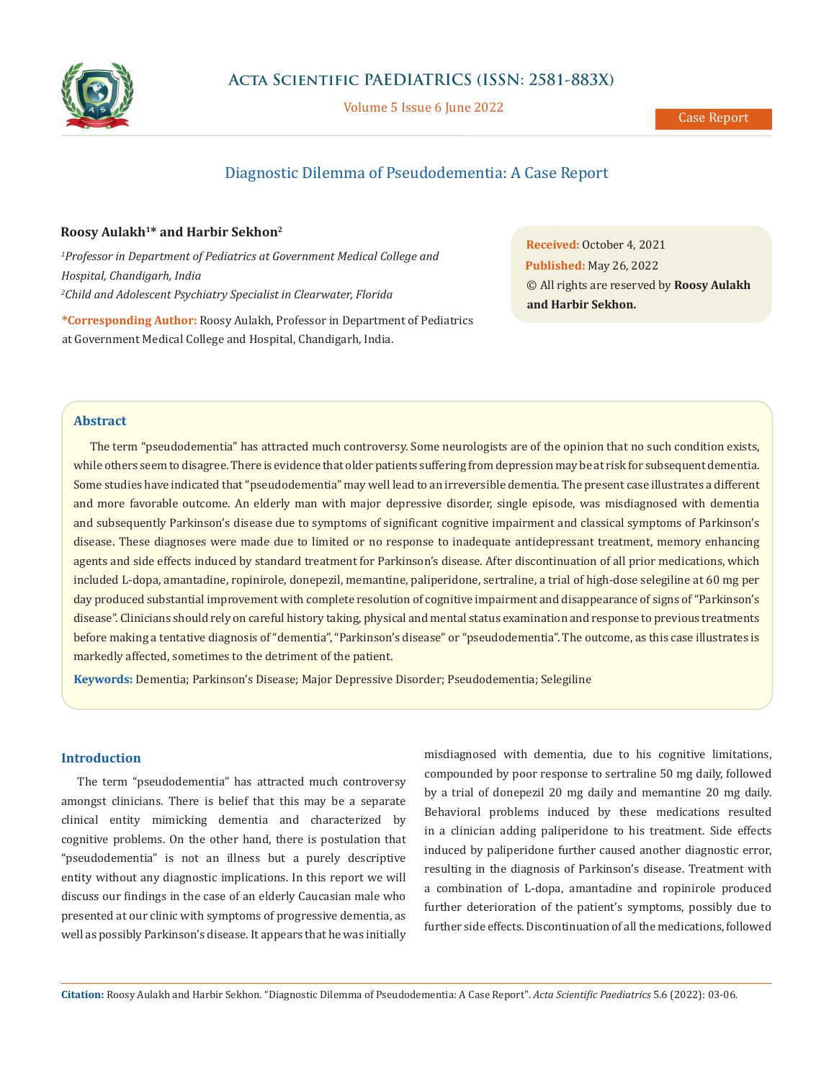

## **Acta Scientific PAEDIATRICS (ISSN: 2581-883X)**

Volume 5 Issue 6 June 2022

# Diagnostic Dilemma of Pseudodementia: A Case Report

## **Roosy Aulakh1\* and Harbir Sekhon2**

*1 Professor in Department of Pediatrics at Government Medical College and Hospital, Chandigarh, India 2 Child and Adolescent Psychiatry Specialist in Clearwater, Florida*

**\*Corresponding Author:** Roosy Aulakh, Professor in Department of Pediatrics at Government Medical College and Hospital, Chandigarh, India.

**Received:** October 4, 2021 **Published:** May 26, 2022 © All rights are reserved by **Roosy Aulakh and Harbir Sekhon.**

## **Abstract**

The term "pseudodementia" has attracted much controversy. Some neurologists are of the opinion that no such condition exists, while others seem to disagree. There is evidence that older patients suffering from depression may be at risk for subsequent dementia. Some studies have indicated that "pseudodementia" may well lead to an irreversible dementia. The present case illustrates a different and more favorable outcome. An elderly man with major depressive disorder, single episode, was misdiagnosed with dementia and subsequently Parkinson's disease due to symptoms of significant cognitive impairment and classical symptoms of Parkinson's disease. These diagnoses were made due to limited or no response to inadequate antidepressant treatment, memory enhancing agents and side effects induced by standard treatment for Parkinson's disease. After discontinuation of all prior medications, which included L-dopa, amantadine, ropinirole, donepezil, memantine, paliperidone, sertraline, a trial of high-dose selegiline at 60 mg per day produced substantial improvement with complete resolution of cognitive impairment and disappearance of signs of "Parkinson's disease". Clinicians should rely on careful history taking, physical and mental status examination and response to previous treatments before making a tentative diagnosis of "dementia", "Parkinson's disease" or "pseudodementia". The outcome, as this case illustrates is markedly affected, sometimes to the detriment of the patient.

**Keywords:** Dementia; Parkinson's Disease; Major Depressive Disorder; Pseudodementia; Selegiline

## **Introduction**

The term "pseudodementia" has attracted much controversy amongst clinicians. There is belief that this may be a separate clinical entity mimicking dementia and characterized by cognitive problems. On the other hand, there is postulation that "pseudodementia" is not an illness but a purely descriptive entity without any diagnostic implications. In this report we will discuss our findings in the case of an elderly Caucasian male who presented at our clinic with symptoms of progressive dementia, as well as possibly Parkinson's disease. It appears that he was initially misdiagnosed with dementia, due to his cognitive limitations, compounded by poor response to sertraline 50 mg daily, followed by a trial of donepezil 20 mg daily and memantine 20 mg daily. Behavioral problems induced by these medications resulted in a clinician adding paliperidone to his treatment. Side effects induced by paliperidone further caused another diagnostic error, resulting in the diagnosis of Parkinson's disease. Treatment with a combination of L-dopa, amantadine and ropinirole produced further deterioration of the patient's symptoms, possibly due to further side effects. Discontinuation of all the medications, followed

**Citation:** Roosy Aulakh and Harbir Sekhon*.* "Diagnostic Dilemma of Pseudodementia: A Case Report". *Acta Scientific Paediatrics* 5.6 (2022): 03-06.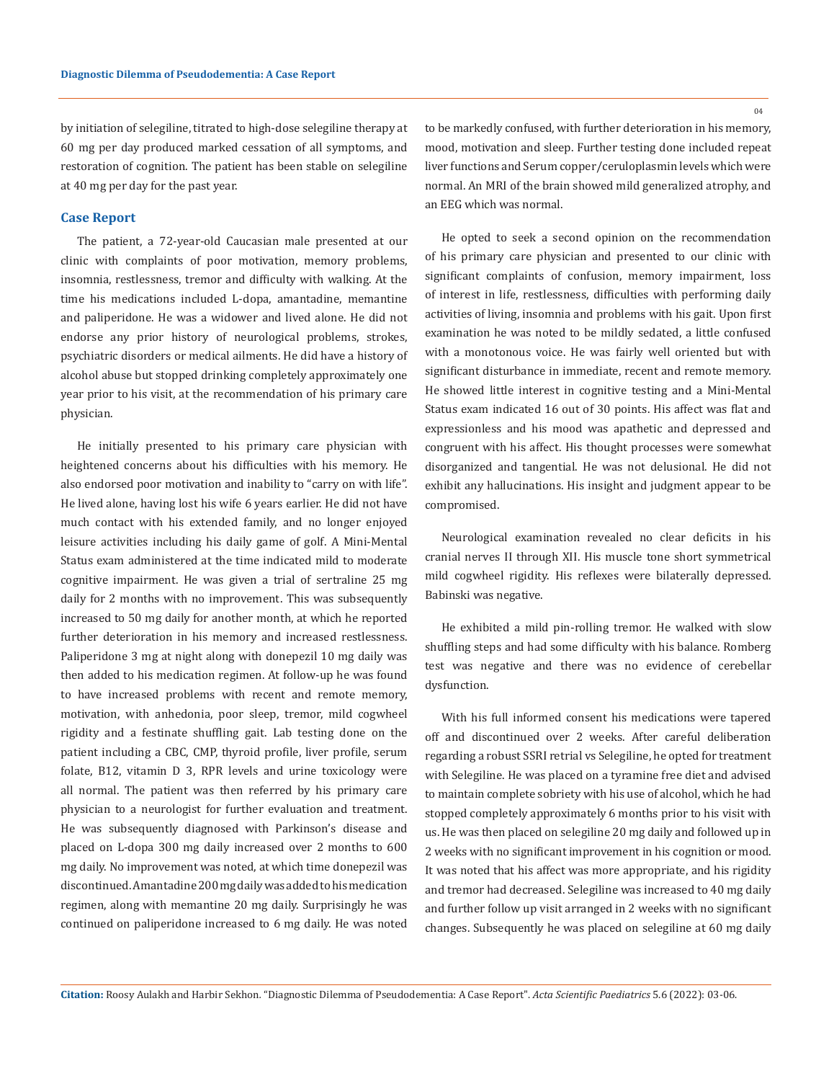by initiation of selegiline, titrated to high-dose selegiline therapy at 60 mg per day produced marked cessation of all symptoms, and restoration of cognition. The patient has been stable on selegiline at 40 mg per day for the past year.

### **Case Report**

The patient, a 72-year-old Caucasian male presented at our clinic with complaints of poor motivation, memory problems, insomnia, restlessness, tremor and difficulty with walking. At the time his medications included L-dopa, amantadine, memantine and paliperidone. He was a widower and lived alone. He did not endorse any prior history of neurological problems, strokes, psychiatric disorders or medical ailments. He did have a history of alcohol abuse but stopped drinking completely approximately one year prior to his visit, at the recommendation of his primary care physician.

He initially presented to his primary care physician with heightened concerns about his difficulties with his memory. He also endorsed poor motivation and inability to "carry on with life". He lived alone, having lost his wife 6 years earlier. He did not have much contact with his extended family, and no longer enjoyed leisure activities including his daily game of golf. A Mini-Mental Status exam administered at the time indicated mild to moderate cognitive impairment. He was given a trial of sertraline 25 mg daily for 2 months with no improvement. This was subsequently increased to 50 mg daily for another month, at which he reported further deterioration in his memory and increased restlessness. Paliperidone 3 mg at night along with donepezil 10 mg daily was then added to his medication regimen. At follow-up he was found to have increased problems with recent and remote memory, motivation, with anhedonia, poor sleep, tremor, mild cogwheel rigidity and a festinate shuffling gait. Lab testing done on the patient including a CBC, CMP, thyroid profile, liver profile, serum folate, B12, vitamin D 3, RPR levels and urine toxicology were all normal. The patient was then referred by his primary care physician to a neurologist for further evaluation and treatment. He was subsequently diagnosed with Parkinson's disease and placed on L-dopa 300 mg daily increased over 2 months to 600 mg daily. No improvement was noted, at which time donepezil was discontinued. Amantadine 200 mg daily was added to his medication regimen, along with memantine 20 mg daily. Surprisingly he was continued on paliperidone increased to 6 mg daily. He was noted

 $04$ 

to be markedly confused, with further deterioration in his memory, mood, motivation and sleep. Further testing done included repeat liver functions and Serum copper/ceruloplasmin levels which were normal. An MRI of the brain showed mild generalized atrophy, and an EEG which was normal.

He opted to seek a second opinion on the recommendation of his primary care physician and presented to our clinic with significant complaints of confusion, memory impairment, loss of interest in life, restlessness, difficulties with performing daily activities of living, insomnia and problems with his gait. Upon first examination he was noted to be mildly sedated, a little confused with a monotonous voice. He was fairly well oriented but with significant disturbance in immediate, recent and remote memory. He showed little interest in cognitive testing and a Mini-Mental Status exam indicated 16 out of 30 points. His affect was flat and expressionless and his mood was apathetic and depressed and congruent with his affect. His thought processes were somewhat disorganized and tangential. He was not delusional. He did not exhibit any hallucinations. His insight and judgment appear to be compromised.

Neurological examination revealed no clear deficits in his cranial nerves II through XII. His muscle tone short symmetrical mild cogwheel rigidity. His reflexes were bilaterally depressed. Babinski was negative.

He exhibited a mild pin-rolling tremor. He walked with slow shuffling steps and had some difficulty with his balance. Romberg test was negative and there was no evidence of cerebellar dysfunction.

With his full informed consent his medications were tapered off and discontinued over 2 weeks. After careful deliberation regarding a robust SSRI retrial vs Selegiline, he opted for treatment with Selegiline. He was placed on a tyramine free diet and advised to maintain complete sobriety with his use of alcohol, which he had stopped completely approximately 6 months prior to his visit with us. He was then placed on selegiline 20 mg daily and followed up in 2 weeks with no significant improvement in his cognition or mood. It was noted that his affect was more appropriate, and his rigidity and tremor had decreased. Selegiline was increased to 40 mg daily and further follow up visit arranged in 2 weeks with no significant changes. Subsequently he was placed on selegiline at 60 mg daily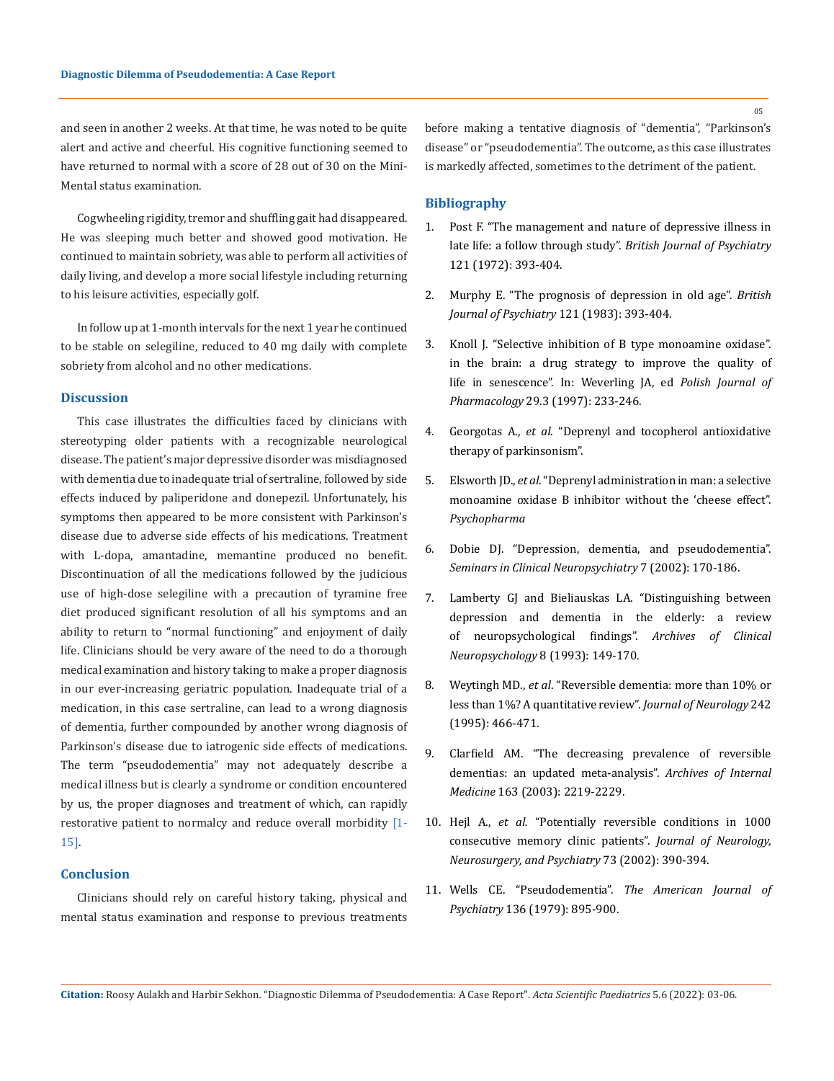and seen in another 2 weeks. At that time, he was noted to be quite alert and active and cheerful. His cognitive functioning seemed to have returned to normal with a score of 28 out of 30 on the Mini-Mental status examination.

Cogwheeling rigidity, tremor and shuffling gait had disappeared. He was sleeping much better and showed good motivation. He continued to maintain sobriety, was able to perform all activities of daily living, and develop a more social lifestyle including returning to his leisure activities, especially golf.

In follow up at 1-month intervals for the next 1 year he continued to be stable on selegiline, reduced to 40 mg daily with complete sobriety from alcohol and no other medications.

### **Discussion**

This case illustrates the difficulties faced by clinicians with stereotyping older patients with a recognizable neurological disease. The patient's major depressive disorder was misdiagnosed with dementia due to inadequate trial of sertraline, followed by side effects induced by paliperidone and donepezil. Unfortunately, his symptoms then appeared to be more consistent with Parkinson's disease due to adverse side effects of his medications. Treatment with L-dopa, amantadine, memantine produced no benefit. Discontinuation of all the medications followed by the judicious use of high-dose selegiline with a precaution of tyramine free diet produced significant resolution of all his symptoms and an ability to return to "normal functioning" and enjoyment of daily life. Clinicians should be very aware of the need to do a thorough medical examination and history taking to make a proper diagnosis in our ever-increasing geriatric population. Inadequate trial of a medication, in this case sertraline, can lead to a wrong diagnosis of dementia, further compounded by another wrong diagnosis of Parkinson's disease due to iatrogenic side effects of medications. The term "pseudodementia" may not adequately describe a medical illness but is clearly a syndrome or condition encountered by us, the proper diagnoses and treatment of which, can rapidly restorative patient to normalcy and reduce overall morbidity [1-15].

### **Conclusion**

Clinicians should rely on careful history taking, physical and mental status examination and response to previous treatments before making a tentative diagnosis of "dementia", "Parkinson's disease" or "pseudodementia". The outcome, as this case illustrates is markedly affected, sometimes to the detriment of the patient.

#### **Bibliography**

- 1. [Post F. "The management and nature of depressive illness in](https://pubmed.ncbi.nlm.nih.gov/4342641/)  [late life: a follow through study".](https://pubmed.ncbi.nlm.nih.gov/4342641/) *British Journal of Psychiatry*  [121 \(1972\): 393-404.](https://pubmed.ncbi.nlm.nih.gov/4342641/)
- 2. [Murphy E. "The prognosis of depression in old age".](https://pubmed.ncbi.nlm.nih.gov/6839065/) *British [Journal of Psychiatry](https://pubmed.ncbi.nlm.nih.gov/6839065/)* 121 (1983): 393-404.
- 3. [Knoll J. "Selective inhibition of B type monoamine oxidase".](https://pubmed.ncbi.nlm.nih.gov/887501/)  [in the brain: a drug strategy to improve the quality of](https://pubmed.ncbi.nlm.nih.gov/887501/)  [life in senescence". In: Weverling JA, ed](https://pubmed.ncbi.nlm.nih.gov/887501/) *Polish Journal of Pharmacology* [29.3 \(1997\): 233-246](https://pubmed.ncbi.nlm.nih.gov/887501/)*.*
- 4. Georgotas A., *et al*. "Deprenyl and tocopherol antioxidative therapy of parkinsonism".
- 5. Elsworth JD., *et al*. "Deprenyl administration in man: a selective monoamine oxidase B inhibitor without the 'cheese effect". *Psychopharma*
- 6. [Dobie DJ. "Depression, dementia, and pseudodementia".](https://pubmed.ncbi.nlm.nih.gov/12111672/)  *[Seminars in Clinical Neuropsychiatry](https://pubmed.ncbi.nlm.nih.gov/12111672/)* 7 (2002): 170-186.
- 7. [Lamberty GJ and Bieliauskas LA. "Distinguishing between](https://www.sciencedirect.com/science/article/abs/pii/088761779390032V)  [depression and dementia in the elderly: a review](https://www.sciencedirect.com/science/article/abs/pii/088761779390032V)  [of neuropsychological findings".](https://www.sciencedirect.com/science/article/abs/pii/088761779390032V) *Archives of Clinical [Neuropsychology](https://www.sciencedirect.com/science/article/abs/pii/088761779390032V)* 8 (1993): 149-170.
- 8. Weytingh MD., *et al*[. "Reversible dementia: more than 10% or](https://pubmed.ncbi.nlm.nih.gov/7595679/)  [less than 1%? A quantitative review".](https://pubmed.ncbi.nlm.nih.gov/7595679/) *Journal of Neurology* 242 [\(1995\): 466-471.](https://pubmed.ncbi.nlm.nih.gov/7595679/)
- 9. [Clarfield AM. "The decreasing prevalence of reversible](https://pubmed.ncbi.nlm.nih.gov/14557220/)  [dementias: an updated meta-analysis".](https://pubmed.ncbi.nlm.nih.gov/14557220/) *Archives of Internal Medicine* [163 \(2003\): 2219-2229.](https://pubmed.ncbi.nlm.nih.gov/14557220/)
- 10. Hejl A., *et al.* ["Potentially reversible conditions in 1000](https://pubmed.ncbi.nlm.nih.gov/12235305/)  [consecutive memory clinic patients".](https://pubmed.ncbi.nlm.nih.gov/12235305/) *Journal of Neurology, [Neurosurgery, and Psychiatry](https://pubmed.ncbi.nlm.nih.gov/12235305/)* 73 (2002): 390-394.
- 11. Wells CE. "Pseudodementia". *[The American Journal of](https://pubmed.ncbi.nlm.nih.gov/453349/)  Psychiatry* [136 \(1979\): 895-900.](https://pubmed.ncbi.nlm.nih.gov/453349/)